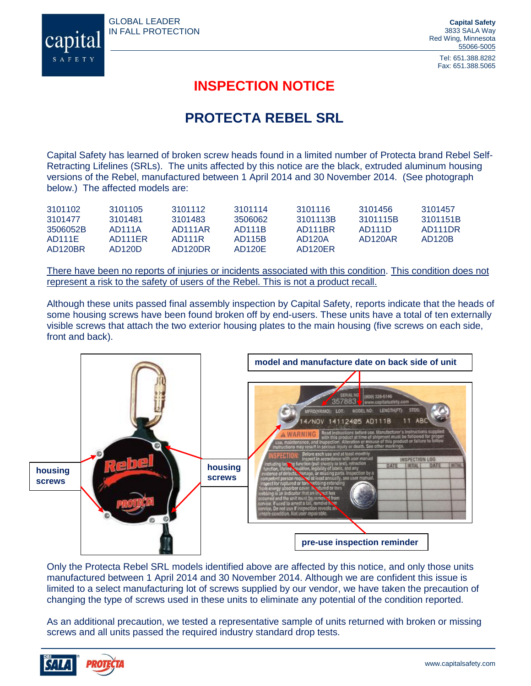GLOBAL LEADER IN FALL PROTECTION



Tel: 651.388.8282 Fax: 651.388.5065

## **INSPECTION NOTICE**

## **PROTECTA REBEL SRL**

Capital Safety has learned of broken screw heads found in a limited number of Protecta brand Rebel Self-Retracting Lifelines (SRLs). The units affected by this notice are the black, extruded aluminum housing versions of the Rebel, manufactured between 1 April 2014 and 30 November 2014. (See photograph below.) The affected models are:

| 3101102  | 3101105 | 3101112 | 3101114             | 3101116  | 3101456  | 3101457  |
|----------|---------|---------|---------------------|----------|----------|----------|
| 3101477  | 3101481 | 3101483 | 3506062             | 3101113B | 3101115B | 3101151B |
| 3506052B | AD111A  | AD111AR | AD111B              | AD111BR  | AD111D   | AD111DR  |
| AD111E   | AD111FR | AD111R  | AD115B              | AD120A   | AD120AR  | AD120B   |
| AD120BR  | AD120D  | AD120DR | AD <sub>120</sub> E | AD120FR  |          |          |

There have been no reports of injuries or incidents associated with this condition. This condition does not represent a risk to the safety of users of the Rebel. This is not a product recall.

Although these units passed final assembly inspection by Capital Safety, reports indicate that the heads of some housing screws have been found broken off by end-users. These units have a total of ten externally visible screws that attach the two exterior housing plates to the main housing (five screws on each side, front and back).



Only the Protecta Rebel SRL models identified above are affected by this notice, and only those units manufactured between 1 April 2014 and 30 November 2014. Although we are confident this issue is limited to a select manufacturing lot of screws supplied by our vendor, we have taken the precaution of changing the type of screws used in these units to eliminate any potential of the condition reported.

As an additional precaution, we tested a representative sample of units returned with broken or missing screws and all units passed the required industry standard drop tests.